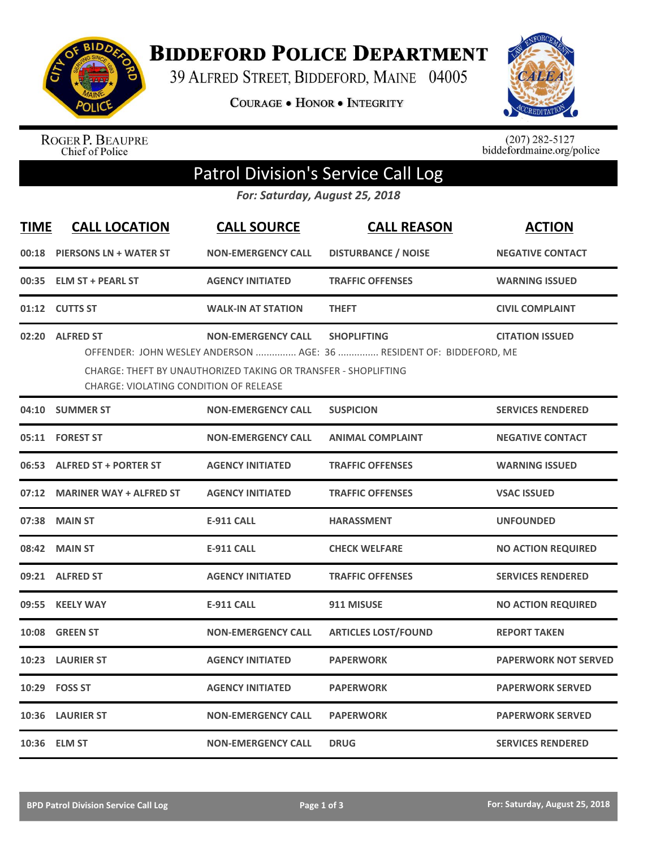

**BIDDEFORD POLICE DEPARTMENT** 

39 ALFRED STREET, BIDDEFORD, MAINE 04005

**COURAGE . HONOR . INTEGRITY** 



ROGER P. BEAUPRE<br>Chief of Police

 $(207)$  282-5127<br>biddefordmaine.org/police

# Patrol Division's Service Call Log

*For: Saturday, August 25, 2018*

| <b>TIME</b> | <b>CALL LOCATION</b>                                                                                                                                                                                                                                                                    | <b>CALL SOURCE</b>        | <b>CALL REASON</b>         | <b>ACTION</b>               |  |  |
|-------------|-----------------------------------------------------------------------------------------------------------------------------------------------------------------------------------------------------------------------------------------------------------------------------------------|---------------------------|----------------------------|-----------------------------|--|--|
|             | 00:18 PIERSONS LN + WATER ST                                                                                                                                                                                                                                                            | <b>NON-EMERGENCY CALL</b> | <b>DISTURBANCE / NOISE</b> | <b>NEGATIVE CONTACT</b>     |  |  |
| 00:35       | <b>ELM ST + PEARL ST</b>                                                                                                                                                                                                                                                                | <b>AGENCY INITIATED</b>   | <b>TRAFFIC OFFENSES</b>    | <b>WARNING ISSUED</b>       |  |  |
|             | 01:12 CUTTS ST                                                                                                                                                                                                                                                                          | <b>WALK-IN AT STATION</b> | <b>THEFT</b>               | <b>CIVIL COMPLAINT</b>      |  |  |
| 02:20       | <b>ALFRED ST</b><br><b>NON-EMERGENCY CALL</b><br><b>CITATION ISSUED</b><br><b>SHOPLIFTING</b><br>OFFENDER: JOHN WESLEY ANDERSON  AGE: 36  RESIDENT OF: BIDDEFORD, ME<br>CHARGE: THEFT BY UNAUTHORIZED TAKING OR TRANSFER - SHOPLIFTING<br><b>CHARGE: VIOLATING CONDITION OF RELEASE</b> |                           |                            |                             |  |  |
|             | 04:10 SUMMER ST                                                                                                                                                                                                                                                                         | <b>NON-EMERGENCY CALL</b> | <b>SUSPICION</b>           | <b>SERVICES RENDERED</b>    |  |  |
|             | 05:11 FOREST ST                                                                                                                                                                                                                                                                         | <b>NON-EMERGENCY CALL</b> | <b>ANIMAL COMPLAINT</b>    | <b>NEGATIVE CONTACT</b>     |  |  |
|             | 06:53 ALFRED ST + PORTER ST                                                                                                                                                                                                                                                             | <b>AGENCY INITIATED</b>   | <b>TRAFFIC OFFENSES</b>    | <b>WARNING ISSUED</b>       |  |  |
|             | 07:12 MARINER WAY + ALFRED ST                                                                                                                                                                                                                                                           | <b>AGENCY INITIATED</b>   | <b>TRAFFIC OFFENSES</b>    | <b>VSAC ISSUED</b>          |  |  |
| 07:38       | <b>MAIN ST</b>                                                                                                                                                                                                                                                                          | <b>E-911 CALL</b>         | <b>HARASSMENT</b>          | <b>UNFOUNDED</b>            |  |  |
|             | 08:42 MAIN ST                                                                                                                                                                                                                                                                           | <b>E-911 CALL</b>         | <b>CHECK WELFARE</b>       | <b>NO ACTION REQUIRED</b>   |  |  |
|             | 09:21 ALFRED ST                                                                                                                                                                                                                                                                         | <b>AGENCY INITIATED</b>   | <b>TRAFFIC OFFENSES</b>    | <b>SERVICES RENDERED</b>    |  |  |
| 09:55       | <b>KEELY WAY</b>                                                                                                                                                                                                                                                                        | <b>E-911 CALL</b>         | 911 MISUSE                 | <b>NO ACTION REQUIRED</b>   |  |  |
|             | 10:08 GREEN ST                                                                                                                                                                                                                                                                          | <b>NON-EMERGENCY CALL</b> | <b>ARTICLES LOST/FOUND</b> | <b>REPORT TAKEN</b>         |  |  |
| 10:23       | <b>LAURIER ST</b>                                                                                                                                                                                                                                                                       | <b>AGENCY INITIATED</b>   | <b>PAPERWORK</b>           | <b>PAPERWORK NOT SERVED</b> |  |  |
| 10:29       | <b>FOSS ST</b>                                                                                                                                                                                                                                                                          | <b>AGENCY INITIATED</b>   | <b>PAPERWORK</b>           | <b>PAPERWORK SERVED</b>     |  |  |
|             | 10:36 LAURIER ST                                                                                                                                                                                                                                                                        | <b>NON-EMERGENCY CALL</b> | <b>PAPERWORK</b>           | <b>PAPERWORK SERVED</b>     |  |  |
|             | 10:36 ELM ST                                                                                                                                                                                                                                                                            | <b>NON-EMERGENCY CALL</b> | <b>DRUG</b>                | <b>SERVICES RENDERED</b>    |  |  |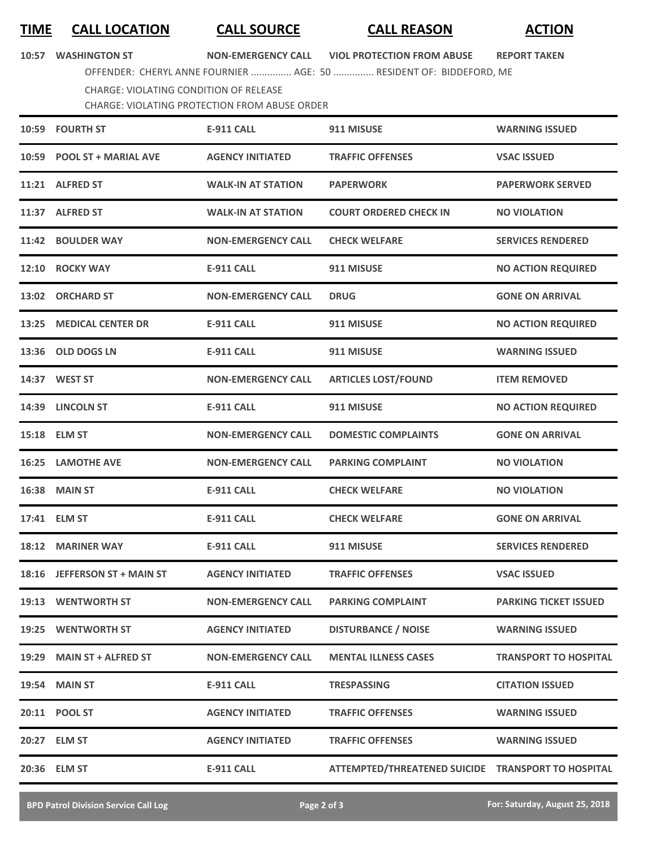## **TIME CALL LOCATION CALL SOURCE CALL REASON ACTION**

**10:57 WASHINGTON ST NON-EMERGENCY CALL VIOL PROTECTION FROM ABUSE REPORT TAKEN**

OFFENDER: CHERYL ANNE FOURNIER ............... AGE: 50 ............... RESIDENT OF: BIDDEFORD, ME

CHARGE: VIOLATING CONDITION OF RELEASE

CHARGE: VIOLATING PROTECTION FROM ABUSE ORDER

|       | 10:59 FOURTH ST              | <b>E-911 CALL</b>         | 911 MISUSE                                         | <b>WARNING ISSUED</b>        |
|-------|------------------------------|---------------------------|----------------------------------------------------|------------------------------|
|       | 10:59 POOL ST + MARIAL AVE   | <b>AGENCY INITIATED</b>   | <b>TRAFFIC OFFENSES</b>                            | <b>VSAC ISSUED</b>           |
|       | 11:21 ALFRED ST              | <b>WALK-IN AT STATION</b> | <b>PAPERWORK</b>                                   | <b>PAPERWORK SERVED</b>      |
|       | 11:37 ALFRED ST              | <b>WALK-IN AT STATION</b> | <b>COURT ORDERED CHECK IN</b>                      | <b>NO VIOLATION</b>          |
|       | 11:42 BOULDER WAY            | <b>NON-EMERGENCY CALL</b> | <b>CHECK WELFARE</b>                               | <b>SERVICES RENDERED</b>     |
|       | 12:10 ROCKY WAY              | <b>E-911 CALL</b>         | 911 MISUSE                                         | <b>NO ACTION REQUIRED</b>    |
|       | 13:02 ORCHARD ST             | <b>NON-EMERGENCY CALL</b> | <b>DRUG</b>                                        | <b>GONE ON ARRIVAL</b>       |
| 13:25 | <b>MEDICAL CENTER DR</b>     | <b>E-911 CALL</b>         | 911 MISUSE                                         | <b>NO ACTION REQUIRED</b>    |
|       | 13:36 OLD DOGS LN            | <b>E-911 CALL</b>         | 911 MISUSE                                         | <b>WARNING ISSUED</b>        |
|       | 14:37 WEST ST                | <b>NON-EMERGENCY CALL</b> | <b>ARTICLES LOST/FOUND</b>                         | <b>ITEM REMOVED</b>          |
|       | 14:39 LINCOLN ST             | E-911 CALL                | 911 MISUSE                                         | <b>NO ACTION REQUIRED</b>    |
|       | 15:18 ELM ST                 | <b>NON-EMERGENCY CALL</b> | <b>DOMESTIC COMPLAINTS</b>                         | <b>GONE ON ARRIVAL</b>       |
| 16:25 | <b>LAMOTHE AVE</b>           | <b>NON-EMERGENCY CALL</b> | <b>PARKING COMPLAINT</b>                           | <b>NO VIOLATION</b>          |
| 16:38 | <b>MAIN ST</b>               | <b>E-911 CALL</b>         | <b>CHECK WELFARE</b>                               | <b>NO VIOLATION</b>          |
|       | 17:41 ELM ST                 | <b>E-911 CALL</b>         | <b>CHECK WELFARE</b>                               | <b>GONE ON ARRIVAL</b>       |
|       | 18:12 MARINER WAY            | <b>E-911 CALL</b>         | 911 MISUSE                                         | <b>SERVICES RENDERED</b>     |
|       | 18:16 JEFFERSON ST + MAIN ST | <b>AGENCY INITIATED</b>   | <b>TRAFFIC OFFENSES</b>                            | <b>VSAC ISSUED</b>           |
|       | 19:13 WENTWORTH ST           | <b>NON-EMERGENCY CALL</b> | <b>PARKING COMPLAINT</b>                           | <b>PARKING TICKET ISSUED</b> |
|       | 19:25 WENTWORTH ST           | <b>AGENCY INITIATED</b>   | <b>DISTURBANCE / NOISE</b>                         | <b>WARNING ISSUED</b>        |
| 19:29 | <b>MAIN ST + ALFRED ST</b>   | <b>NON-EMERGENCY CALL</b> | <b>MENTAL ILLNESS CASES</b>                        | <b>TRANSPORT TO HOSPITAL</b> |
| 19:54 | <b>MAIN ST</b>               | <b>E-911 CALL</b>         | <b>TRESPASSING</b>                                 | <b>CITATION ISSUED</b>       |
|       | 20:11 POOL ST                | <b>AGENCY INITIATED</b>   | <b>TRAFFIC OFFENSES</b>                            | <b>WARNING ISSUED</b>        |
|       | 20:27 ELM ST                 | <b>AGENCY INITIATED</b>   | <b>TRAFFIC OFFENSES</b>                            | <b>WARNING ISSUED</b>        |
|       | 20:36 ELM ST                 | <b>E-911 CALL</b>         | ATTEMPTED/THREATENED SUICIDE TRANSPORT TO HOSPITAL |                              |